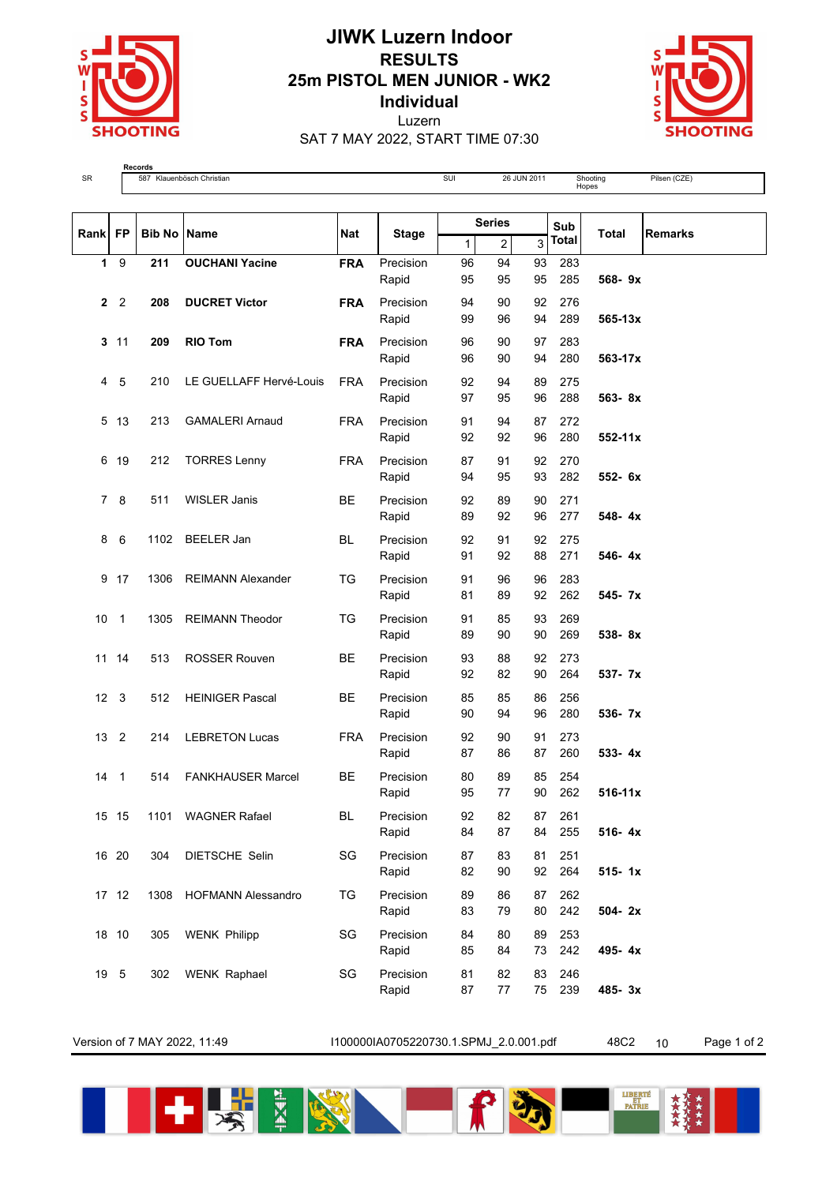

## **JIWK Luzern Indoor RESULTS 25m PISTOL MEN JUNIOR - WK2 Individual** Luzern SAT 7 MAY 2022, START TIME 07:30



**Records**<br>SR 587 Klauenbösch Christian Suid-Suit 26 JUN 2011 Shooting SUI 26 JUN 2011 Shooting Shooting<br>Hopes Pilsen (CZE)

| Rank FP        |                | <b>Bib No Name</b> |                           | <b>Nat</b> |                    | <b>Series</b> |                |          | Sub          | <b>Total</b> | <b>Remarks</b> |
|----------------|----------------|--------------------|---------------------------|------------|--------------------|---------------|----------------|----------|--------------|--------------|----------------|
|                |                |                    |                           |            | <b>Stage</b>       | 1             | $\overline{a}$ | 3        | <b>Total</b> |              |                |
| $\mathbf 1$    | 9              | 211                | <b>OUCHANI Yacine</b>     | <b>FRA</b> | Precision<br>Rapid | 96<br>95      | 94<br>95       | 93<br>95 | 283<br>285   | 568-9x       |                |
| $\mathbf{2}$   | $\overline{2}$ | 208                | <b>DUCRET Victor</b>      | <b>FRA</b> | Precision<br>Rapid | 94<br>99      | 90<br>96       | 92<br>94 | 276<br>289   | 565-13x      |                |
| 3              | 11             | 209                | <b>RIO Tom</b>            | <b>FRA</b> | Precision<br>Rapid | 96<br>96      | 90<br>90       | 97<br>94 | 283<br>280   | 563-17x      |                |
| 4              | 5              | 210                | LE GUELLAFF Hervé-Louis   | <b>FRA</b> | Precision<br>Rapid | 92<br>97      | 94<br>95       | 89<br>96 | 275<br>288   | 563-8x       |                |
| 5              | 13             | 213                | <b>GAMALERI Arnaud</b>    | <b>FRA</b> | Precision<br>Rapid | 91<br>92      | 94<br>92       | 87<br>96 | 272<br>280   | $552 - 11x$  |                |
| 6              | 19             | 212                | <b>TORRES Lenny</b>       | <b>FRA</b> | Precision<br>Rapid | 87<br>94      | 91<br>95       | 92<br>93 | 270<br>282   | 552- 6x      |                |
| $\overline{7}$ | 8              | 511                | <b>WISLER Janis</b>       | <b>BE</b>  | Precision<br>Rapid | 92<br>89      | 89<br>92       | 90<br>96 | 271<br>277   | 548-4x       |                |
| 8              | 6              | 1102               | <b>BEELER Jan</b>         | BL         | Precision<br>Rapid | 92<br>91      | 91<br>92       | 92<br>88 | 275<br>271   | 546-4x       |                |
| 9              | 17             | 1306               | <b>REIMANN Alexander</b>  | TG         | Precision<br>Rapid | 91<br>81      | 96<br>89       | 96<br>92 | 283<br>262   | 545-7x       |                |
| 10             | $\mathbf{1}$   | 1305               | <b>REIMANN Theodor</b>    | TG         | Precision<br>Rapid | 91<br>89      | 85<br>90       | 93<br>90 | 269<br>269   | 538-8x       |                |
|                | 11 14          | 513                | <b>ROSSER Rouven</b>      | <b>BE</b>  | Precision<br>Rapid | 93<br>92      | 88<br>82       | 92<br>90 | 273<br>264   | 537- 7x      |                |
| 12             | 3              | 512                | <b>HEINIGER Pascal</b>    | <b>BE</b>  | Precision<br>Rapid | 85<br>90      | 85<br>94       | 86<br>96 | 256<br>280   | 536- 7x      |                |
| 13             | 2              | 214                | <b>LEBRETON Lucas</b>     | <b>FRA</b> | Precision<br>Rapid | 92<br>87      | 90<br>86       | 91<br>87 | 273<br>260   | $533 - 4x$   |                |
| 14             | $\mathbf{1}$   | 514                | <b>FANKHAUSER Marcel</b>  | BE         | Precision<br>Rapid | 80<br>95      | 89<br>77       | 85<br>90 | 254<br>262   | $516-11x$    |                |
| 15             | 15             | 1101               | <b>WAGNER Rafael</b>      | BL         | Precision<br>Rapid | 92<br>84      | 82<br>87       | 87<br>84 | 261<br>255   | $516 - 4x$   |                |
|                | 16 20          | 304                | DIETSCHE Selin            | SG         | Precision<br>Rapid | 87<br>82      | 83<br>90       | 81<br>92 | 251<br>264   | $515 - 1x$   |                |
|                | 17 12          | 1308               | <b>HOFMANN Alessandro</b> | TG         | Precision<br>Rapid | 89<br>83      | 86<br>79       | 87<br>80 | 262<br>242   | 504-2x       |                |
|                | 18 10          | 305                | <b>WENK Philipp</b>       | SG         | Precision<br>Rapid | 84<br>85      | 80<br>84       | 89<br>73 | 253<br>242   | 495-4x       |                |
| 19             | 5              | 302                | <b>WENK Raphael</b>       | SG         | Precision<br>Rapid | 81<br>87      | 82<br>77       | 83<br>75 | 246<br>239   | 485-3x       |                |

Version of 7 MAY 2022, 11:49 I100000IA0705220730.1.SPMJ\_2.0.001.pdf 48C2 10 Page 1 of 2